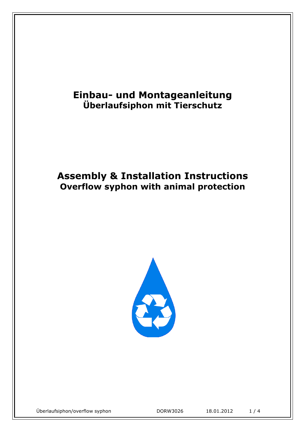# **Einbau- und Montageanleitung Überlaufsiphon mit Tierschutz**

# **Assembly & Installation Instructions Overflow syphon with animal protection**



Überlaufsiphon/overflow syphon DORW3026 18.01.2012 1 / 4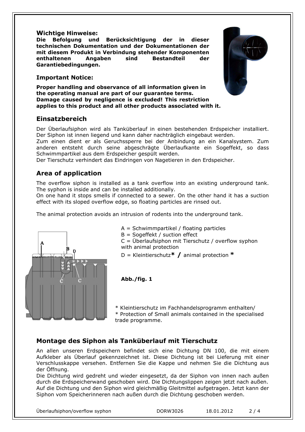#### **Wichtige Hinweise:**

**Die Befolgung und Berücksichtigung der in dieser technischen Dokumentation und der Dokumentationen der mit diesem Produkt in Verbindung stehender Komponenten enthaltenen Angaben sind Bestandteil der Garantiebedingungen.** 

#### **Important Notice:**

**Proper handling and observance of all information given in the operating manual are part of our guarantee terms. Damage caused by negligence is excluded! This restriction applies to this product and all other products associated with it.**

#### **Einsatzbereich**

Der Überlaufsiphon wird als Tanküberlauf in einen bestehenden Erdspeicher installiert. Der Siphon ist innen liegend und kann daher nachträglich eingebaut werden.

Zum einen dient er als Geruchssperre bei der Anbindung an ein Kanalsystem. Zum anderen entsteht durch seine abgeschrägte Überlaufkante ein Sogeffekt, so dass Schwimmpartikel aus dem Erdspeicher gespült werden.

Der Tierschutz verhindert das Eindringen von Nagetieren in den Erdspeicher.

### **Area of application**

The overflow siphon is installed as a tank overflow into an existing underground tank. The syphon is inside and can be installed additionally.

On one hand it stops smells if connected to a sewer. On the other hand it has a suction effect with its sloped overflow edge, so floating particles are rinsed out.

The animal protection avoids an intrusion of rodents into the underground tank.



- A = Schwimmpartikel / floating particles
- B = Sogeffekt / suction effect

 $C = \overline{U}$ berlaufsiphon mit Tierschutz / overflow syphon with animal protection

D = Kleintierschutz**\* /** animal protection **\***

**Abb./fig. 1**

\* Kleintierschutz im Fachhandelsprogramm enthalten/ \* Protection of Small animals contained in the specialised trade programme.

#### **Montage des Siphon als Tanküberlauf mit Tierschutz**

An allen unseren Erdspeichern befindet sich eine Dichtung DN 100, die mit einem Aufkleber als Überlauf gekennzeichnet ist. Diese Dichtung ist bei Lieferung mit einer Verschlusskappe versehen. Entfernen Sie die Kappe und nehmen Sie die Dichtung aus der Öffnung.

Die Dichtung wird gedreht und wieder eingesetzt, da der Siphon von innen nach außen durch die Erdspeicherwand geschoben wird. Die Dichtungslippen zeigen jetzt nach außen. Auf die Dichtung und den Siphon wird gleichmäßig Gleitmittel aufgetragen. Jetzt kann der Siphon vom Speicherinneren nach außen durch die Dichtung geschoben werden.



| Überlaufsiphon/overflow syphon | DORW3026 | 18.01.2012 | 2/4 |
|--------------------------------|----------|------------|-----|
|--------------------------------|----------|------------|-----|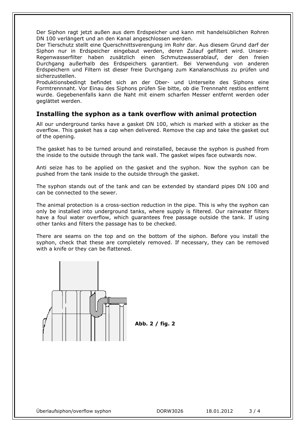Der Siphon ragt jetzt außen aus dem Erdspeicher und kann mit handelsüblichen Rohren DN 100 verlängert und an den Kanal angeschlossen werden.

Der Tierschutz stellt eine Querschnittsverengung im Rohr dar. Aus diesem Grund darf der Siphon nur in Erdspeicher eingebaut werden, deren Zulauf gefiltert wird. Unsere-Regenwasserfilter haben zusätzlich einen Schmutzwasserablauf, der den freien Durchgang außerhalb des Erdspeichers garantiert. Bei Verwendung von anderen Erdspeichern und Filtern ist dieser freie Durchgang zum Kanalanschluss zu prüfen und sicherzustellen.

Produktionsbedingt befindet sich an der Ober- und Unterseite des Siphons eine Formtrennnaht. Vor Einau des Siphons prüfen Sie bitte, ob die Trennnaht restlos entfernt wurde. Gegebenenfalls kann die Naht mit einem scharfen Messer entfernt werden oder geglättet werden.

#### **Installing the syphon as a tank overflow with animal protection**

All our underground tanks have a gasket DN 100, which is marked with a sticker as the overflow. This gasket has a cap when delivered. Remove the cap and take the gasket out of the opening.

The gasket has to be turned around and reinstalled, because the syphon is pushed from the inside to the outside through the tank wall. The gasket wipes face outwards now.

Anti seize has to be applied on the gasket and the syphon. Now the syphon can be pushed from the tank inside to the outside through the gasket.

The syphon stands out of the tank and can be extended by standard pipes DN 100 and can be connected to the sewer.

The animal protection is a cross-section reduction in the pipe. This is why the syphon can only be installed into underground tanks, where supply is filtered. Our rainwater filters have a foul water overflow, which guarantees free passage outside the tank. If using other tanks and filters the passage has to be checked.

There are seams on the top and on the bottom of the siphon. Before you install the syphon, check that these are completely removed. If necessary, they can be removed with a knife or they can be flattened.